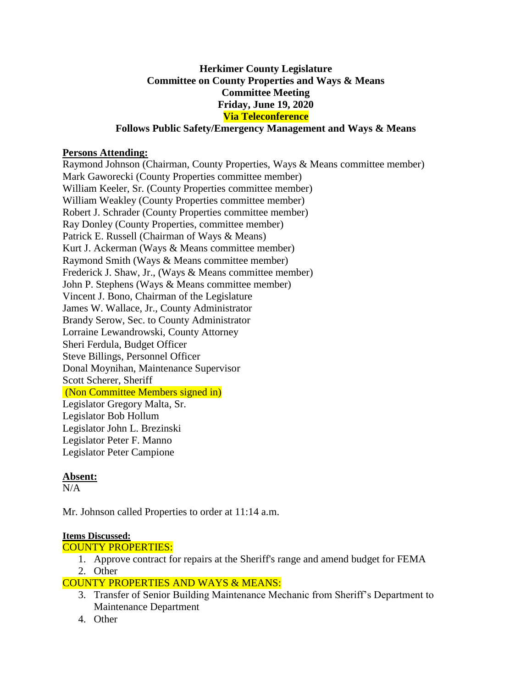# **Herkimer County Legislature Committee on County Properties and Ways & Means Committee Meeting Friday, June 19, 2020 Via Teleconference**

## **Follows Public Safety/Emergency Management and Ways & Means**

## **Persons Attending:**

Raymond Johnson (Chairman, County Properties, Ways & Means committee member) Mark Gaworecki (County Properties committee member) William Keeler, Sr. (County Properties committee member) William Weakley (County Properties committee member) Robert J. Schrader (County Properties committee member) Ray Donley (County Properties, committee member) Patrick E. Russell (Chairman of Ways & Means) Kurt J. Ackerman (Ways & Means committee member) Raymond Smith (Ways & Means committee member) Frederick J. Shaw, Jr., (Ways & Means committee member) John P. Stephens (Ways & Means committee member) Vincent J. Bono, Chairman of the Legislature James W. Wallace, Jr., County Administrator Brandy Serow, Sec. to County Administrator Lorraine Lewandrowski, County Attorney Sheri Ferdula, Budget Officer Steve Billings, Personnel Officer Donal Moynihan, Maintenance Supervisor Scott Scherer, Sheriff (Non Committee Members signed in) Legislator Gregory Malta, Sr. Legislator Bob Hollum Legislator John L. Brezinski Legislator Peter F. Manno Legislator Peter Campione

# **Absent:**

 $N/A$ 

Mr. Johnson called Properties to order at 11:14 a.m.

#### **Items Discussed:**

COUNTY PROPERTIES:

1. Approve contract for repairs at the Sheriff's range and amend budget for FEMA 2. Other

# COUNTY PROPERTIES AND WAYS & MEANS:

- 3. Transfer of Senior Building Maintenance Mechanic from Sheriff's Department to Maintenance Department
- 4. Other